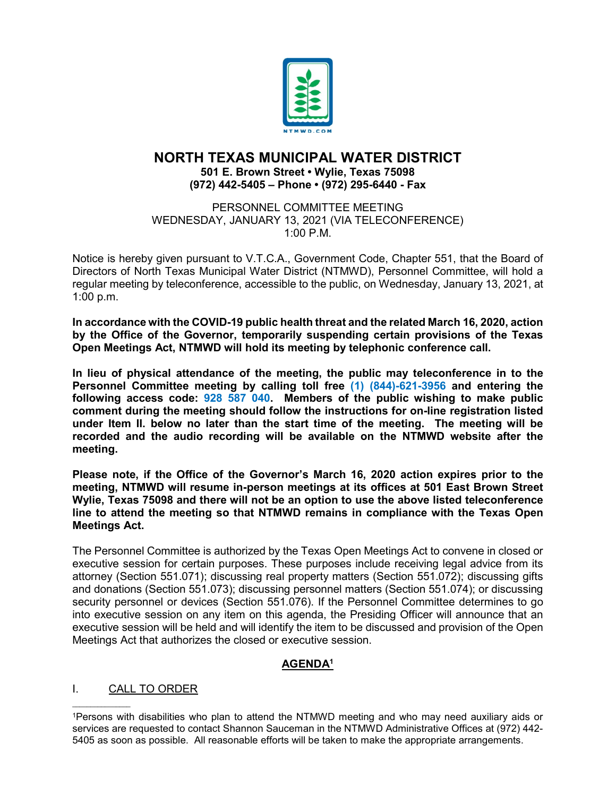

# **NORTH TEXAS MUNICIPAL WATER DISTRICT 501 E. Brown Street • Wylie, Texas 75098 (972) 442-5405 – Phone • (972) 295-6440 - Fax**

PERSONNEL COMMITTEE MEETING WEDNESDAY, JANUARY 13, 2021 (VIA TELECONFERENCE) 1:00 P.M.

Notice is hereby given pursuant to V.T.C.A., Government Code, Chapter 551, that the Board of Directors of North Texas Municipal Water District (NTMWD), Personnel Committee, will hold a regular meeting by teleconference, accessible to the public, on Wednesday, January 13, 2021, at 1:00 p.m.

**In accordance with the COVID-19 public health threat and the related March 16, 2020, action by the Office of the Governor, temporarily suspending certain provisions of the Texas Open Meetings Act, NTMWD will hold its meeting by telephonic conference call.** 

**In lieu of physical attendance of the meeting, the public may teleconference in to the Personnel Committee meeting by calling toll free (1) (844)-621-3956 and entering the following access code: 928 587 040. Members of the public wishing to make public comment during the meeting should follow the instructions for on-line registration listed under Item II. below no later than the start time of the meeting. The meeting will be recorded and the audio recording will be available on the NTMWD website after the meeting.**

**Please note, if the Office of the Governor's March 16, 2020 action expires prior to the meeting, NTMWD will resume in-person meetings at its offices at 501 East Brown Street Wylie, Texas 75098 and there will not be an option to use the above listed teleconference line to attend the meeting so that NTMWD remains in compliance with the Texas Open Meetings Act.**

The Personnel Committee is authorized by the Texas Open Meetings Act to convene in closed or executive session for certain purposes. These purposes include receiving legal advice from its attorney (Section 551.071); discussing real property matters (Section 551.072); discussing gifts and donations (Section 551.073); discussing personnel matters (Section 551.074); or discussing security personnel or devices (Section 551.076). If the Personnel Committee determines to go into executive session on any item on this agenda, the Presiding Officer will announce that an executive session will be held and will identify the item to be discussed and provision of the Open Meetings Act that authorizes the closed or executive session.

## **AGENDA1**

## I. CALL TO ORDER

 $\mathcal{L}_\text{max}$  and  $\mathcal{L}_\text{max}$  and  $\mathcal{L}_\text{max}$ 

<sup>1</sup>Persons with disabilities who plan to attend the NTMWD meeting and who may need auxiliary aids or services are requested to contact Shannon Sauceman in the NTMWD Administrative Offices at (972) 442-5405 as soon as possible. All reasonable efforts will be taken to make the appropriate arrangements.